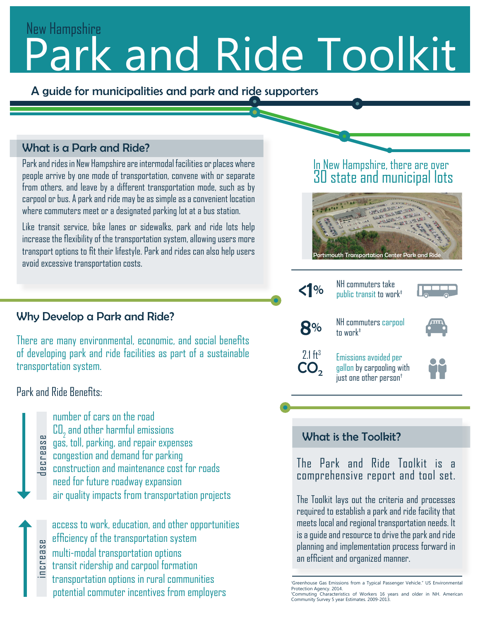# Park and Ride Toolkit New Hampshire

A guide for municipalities and park and ride supporters

### What is a Park and Ride?

Park and rides in New Hampshire are intermodal facilities or places where people arrive by one mode of transportation, convene with or separate from others, and leave by a different transportation mode, such as by carpool or bus. A park and ride may be as simple as a convenient location where commuters meet or a designated parking lot at a bus station.

Like transit service, bike lanes or sidewalks, park and ride lots help increase the flexibility of the transportation system, allowing users more transport options to fit their lifestyle. Park and rides can also help users avoid excessive transportation costs.

### Why Develop a Park and Ride?

There are many environmental, economic, and social benefits of developing park and ride facilities as part of a sustainable transportation system.

Park and Ride Benefits:

- number of cars on the road  $\mathtt{CD}_2$  and other harmful emissions gas, toll, parking, and repair expenses
- congestion and demand for parking
- construction and maintenance cost for roads need for future roadway expansion air quality impacts from transportation projects decrease

efficiency of the transportation system multi-modal transportation options transit ridership and carpool formation transportation options in rural communities access to work, education, and other opportunities potential commuter incentives from employers increase

### In New Hampshire, there are over 30 state and municipal lots



K<sup>1</sup>% NH commuters take



8% NH commuters carpool tn wnrk<sup>#</sup>



CO<sub>2</sub>

2.1 ft<sup>3</sup> Emissions avoided per gallon by carpooling with just one other person†



### What is the Toolkit?

The Park and Ride Toolkit is a comprehensive report and tool set.

The Toolkit lays out the criteria and processes required to establish a park and ride facility that meets local and regional transportation needs. It is a guide and resource to drive the park and ride planning and implementation process forward in an efficient and organized manner.

<sup>†</sup> Greenhouse Gas Emissions from a Typical Passenger Vehicle." US Environmental Protection Agency. 2014.

<sup>‡</sup> Commuting Characteristics of Workers 16 years and older in NH. American Community Survey 5 year Estimates. 2009-2013.